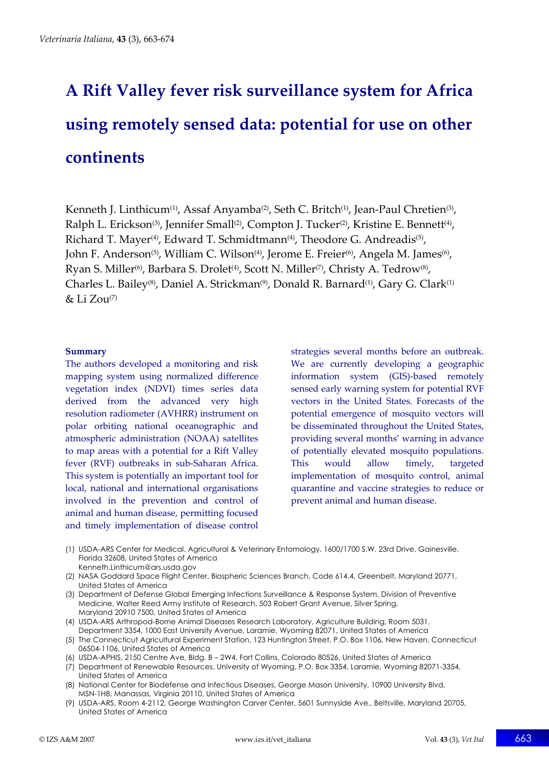# **A Rift Valley fever risk surveillance system for Africa using remotely sensed data: potential for use on other continents**

Kenneth J. Linthicum<sup>(1)</sup>, Assaf Anyamba<sup>(2)</sup>, Seth C. Britch<sup>(1)</sup>, Jean-Paul Chretien<sup>(3)</sup>, Ralph L. Erickson<sup>(3)</sup>, Jennifer Small<sup>(2)</sup>, Compton J. Tucker<sup>(2)</sup>, Kristine E. Bennett<sup>(4)</sup>, Richard T. Mayer<sup>(4)</sup>, Edward T. Schmidtmann<sup>(4)</sup>, Theodore G. Andreadis<sup>(5)</sup>, John F. Anderson<sup>(5)</sup>, William C. Wilson<sup>(4)</sup>, Jerome E. Freier<sup>(6)</sup>, Angela M. James<sup>(6)</sup>, Ryan S. Miller<sup>(6)</sup>, Barbara S. Drolet<sup>(4)</sup>, Scott N. Miller<sup>(7)</sup>, Christy A. Tedrow<sup>(8)</sup>, Charles L. Bailey<sup>(8)</sup>, Daniel A. Strickman<sup>(9)</sup>, Donald R. Barnard<sup>(1)</sup>, Gary G. Clark<sup>(1)</sup> & Li Zou(7)

#### **Summary**

The authors developed a monitoring and risk mapping system using normalized difference vegetation index (NDVI) times series data derived from the advanced very high resolution radiometer (AVHRR) instrument on polar orbiting national oceanographic and atmospheric administration (NOAA) satellites to map areas with a potential for a Rift Valley fever (RVF) outbreaks in sub-Saharan Africa. This system is potentially an important tool for local, national and international organisations involved in the prevention and control of animal and human disease, permitting focused and timely implementation of disease control

strategies several months before an outbreak. We are currently developing a geographic information system (GIS)-based remotely sensed early warning system for potential RVF vectors in the United States. Forecasts of the potential emergence of mosquito vectors will be disseminated throughout the United States, providing several months' warning in advance of potentially elevated mosquito populations. This would allow timely, targeted implementation of mosquito control, animal quarantine and vaccine strategies to reduce or prevent animal and human disease.

- (1) USDA-ARS Center for Medical, Agricultural & Veterinary Entomology, 1600/1700 S.W. 23rd Drive, Gainesville, Florida 32608, United States of America Kenneth.Linthicum@ars.usda.gov
- (2) NASA Goddard Space Flight Center, Biospheric Sciences Branch, Code 614.4, Greenbelt, Maryland 20771, United States of America
- (3) Department of Defense Global Emerging Infections Surveillance & Response System, Division of Preventive Medicine, Walter Reed Army Institute of Research, 503 Robert Grant Avenue, Silver Spring, Maryland 20910 7500, United States of America
- (4) USDA-ARS Arthropod-Borne Animal Diseases Research Laboratory, Agriculture Building, Room 5031, Department 3354, 1000 East University Avenue, Laramie, Wyoming 82071, United States of America
- (5) The Connecticut Agricultural Experiment Station, 123 Huntington Street, P.O. Box 1106, New Haven, Connecticut 06504-1106, United States of America
- (6) USDA-APHIS, 2150 Centre Ave, Bldg. B 2W4, Fort Collins, Colorado 80526, United States of America
- (7) Department of Renewable Resources, University of Wyoming, P.O. Box 3354, Laramie, Wyoming 82071-3354, United States of America
- (8) National Center for Biodefense and Infectious Diseases, George Mason University, 10900 University Blvd, MSN-1H8, Manassas, Virginia 20110, United States of America
- (9) USDA-ARS, Room 4-2112, George Washington Carver Center, 5601 Sunnyside Ave., Beltsville, Maryland 20705, United States of America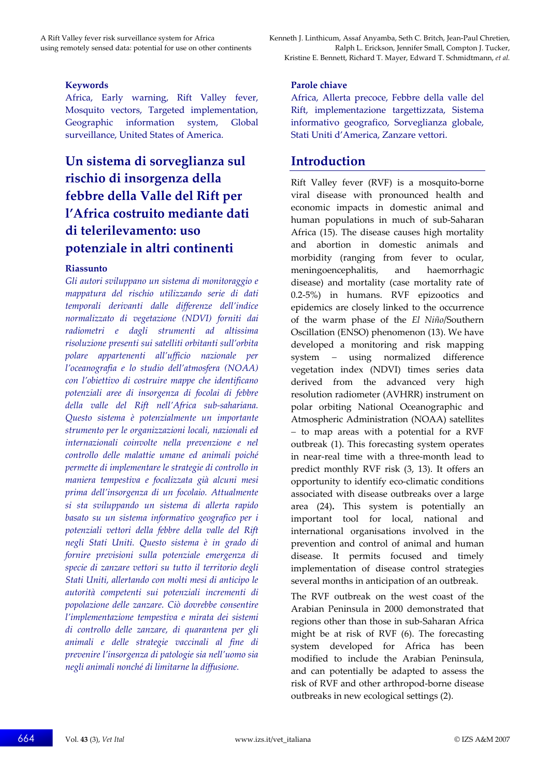#### **Keywords**

Africa, Early warning, Rift Valley fever, Mosquito vectors, Targeted implementation, Geographic information system, Global surveillance, United States of America.

# **Un sistema di sorveglianza sul rischio di insorgenza della febbre della Valle del Rift per l'Africa costruito mediante dati di telerilevamento: uso potenziale in altri continenti**

#### **Riassunto**

*Gli autori sviluppano un sistema di monitoraggio e mappatura del rischio utilizzando serie di dati temporali derivanti dalle differenze dell'indice normalizzato di vegetazione (NDVI) forniti dai radiometri e dagli strumenti ad altissima risoluzione presenti sui satelliti orbitanti sull'orbita polare appartenenti all'ufficio nazionale per l'oceanografia e lo studio dell'atmosfera (NOAA) con l'obiettivo di costruire mappe che identificano potenziali aree di insorgenza di focolai di febbre della valle del Rift nell'Africa sub-sahariana. Questo sistema è potenzialmente un importante strumento per le organizzazioni locali, nazionali ed internazionali coinvolte nella prevenzione e nel controllo delle malattie umane ed animali poiché permette di implementare le strategie di controllo in maniera tempestiva e focalizzata già alcuni mesi prima dell'insorgenza di un focolaio. Attualmente si sta sviluppando un sistema di allerta rapido basato su un sistema informativo geografico per i potenziali vettori della febbre della valle del Rift negli Stati Uniti. Questo sistema è in grado di fornire previsioni sulla potenziale emergenza di specie di zanzare vettori su tutto il territorio degli Stati Uniti, allertando con molti mesi di anticipo le autorità competenti sui potenziali incrementi di popolazione delle zanzare. Ciò dovrebbe consentire l'implementazione tempestiva e mirata dei sistemi di controllo delle zanzare, di quarantena per gli animali e delle strategie vaccinali al fine di prevenire l'insorgenza di patologie sia nell'uomo sia negli animali nonché di limitarne la diffusione.* 

A Rift Valley fever risk surveillance system for Africa Kenneth J. Linthicum, Assaf Anyamba, Seth C. Britch, Jean-Paul Chretien, using remotely sensed data: potential for use on other continents Ralph L. Erickson, Jennifer Small, Compton J. Tucker, Kristine E. Bennett, Richard T. Mayer, Edward T. Schmidtmann, *et al.*

#### **Parole chiave**

Africa, Allerta precoce, Febbre della valle del Rift, implementazione targettizzata, Sistema informativo geografico, Sorveglianza globale, Stati Uniti d'America, Zanzare vettori.

## **Introduction**

Rift Valley fever (RVF) is a mosquito-borne viral disease with pronounced health and economic impacts in domestic animal and human populations in much of sub-Saharan Africa (15). The disease causes high mortality and abortion in domestic animals and morbidity (ranging from fever to ocular, meningoencephalitis, and haemorrhagic disease) and mortality (case mortality rate of 0.2-5%) in humans. RVF epizootics and epidemics are closely linked to the occurrence of the warm phase of the *El Niño*/Southern Oscillation (ENSO) phenomenon (13). We have developed a monitoring and risk mapping system − using normalized difference vegetation index (NDVI) times series data derived from the advanced very high resolution radiometer (AVHRR) instrument on polar orbiting National Oceanographic and Atmospheric Administration (NOAA) satellites − to map areas with a potential for a RVF outbreak (1). This forecasting system operates in near-real time with a three-month lead to predict monthly RVF risk (3, 13). It offers an opportunity to identify eco-climatic conditions associated with disease outbreaks over a large area (24)**.** This system is potentially an important tool for local, national and international organisations involved in the prevention and control of animal and human disease. It permits focused and timely implementation of disease control strategies several months in anticipation of an outbreak.

The RVF outbreak on the west coast of the Arabian Peninsula in 2000 demonstrated that regions other than those in sub-Saharan Africa might be at risk of RVF (6). The forecasting system developed for Africa has been modified to include the Arabian Peninsula, and can potentially be adapted to assess the risk of RVF and other arthropod-borne disease outbreaks in new ecological settings (2).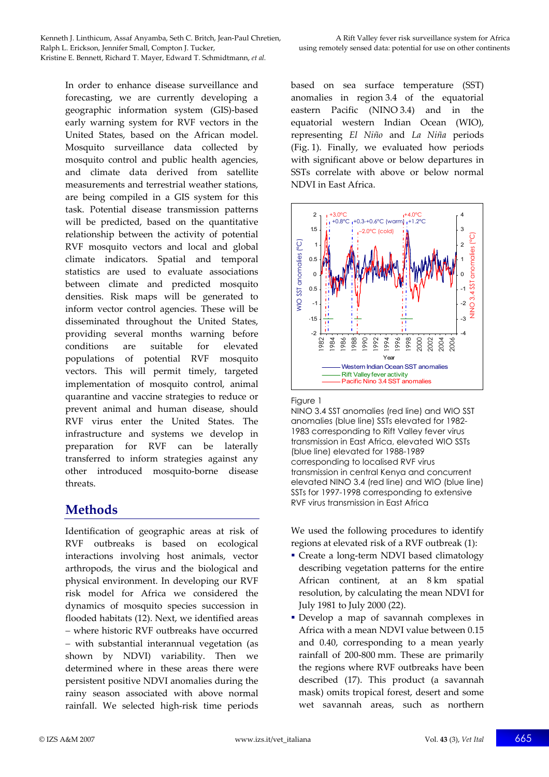In order to enhance disease surveillance and forecasting, we are currently developing a geographic information system (GIS)-based early warning system for RVF vectors in the United States, based on the African model. Mosquito surveillance data collected by mosquito control and public health agencies, and climate data derived from satellite measurements and terrestrial weather stations, are being compiled in a GIS system for this task. Potential disease transmission patterns will be predicted, based on the quantitative relationship between the activity of potential RVF mosquito vectors and local and global climate indicators. Spatial and temporal statistics are used to evaluate associations between climate and predicted mosquito densities. Risk maps will be generated to inform vector control agencies. These will be disseminated throughout the United States, providing several months warning before conditions are suitable for elevated populations of potential RVF mosquito vectors. This will permit timely, targeted implementation of mosquito control, animal quarantine and vaccine strategies to reduce or prevent animal and human disease, should RVF virus enter the United States. The infrastructure and systems we develop in preparation for RVF can be laterally transferred to inform strategies against any other introduced mosquito-borne disease threats.

# **Methods**

Identification of geographic areas at risk of RVF outbreaks is based on ecological interactions involving host animals, vector arthropods, the virus and the biological and physical environment. In developing our RVF risk model for Africa we considered the dynamics of mosquito species succession in flooded habitats (12). Next, we identified areas − where historic RVF outbreaks have occurred − with substantial interannual vegetation (as shown by NDVI) variability. Then we determined where in these areas there were persistent positive NDVI anomalies during the rainy season associated with above normal rainfall. We selected high-risk time periods based on sea surface temperature (SST) anomalies in region 3.4 of the equatorial eastern Pacific (NINO 3.4) and in the equatorial western Indian Ocean (WIO), representing *El Niño* and *La Niña* periods (Fig. 1). Finally, we evaluated how periods with significant above or below departures in SSTs correlate with above or below normal NDVI in East Africa.



#### Fiaure 1

NINO 3.4 SST anomalies (red line) and WIO SST anomalies (blue line) SSTs elevated for 1982- 1983 corresponding to Rift Valley fever virus transmission in East Africa, elevated WIO SSTs (blue line) elevated for 1988-1989 corresponding to localised RVF virus transmission in central Kenya and concurrent elevated NINO 3.4 (red line) and WIO (blue line) SSTs for 1997-1998 corresponding to extensive RVF virus transmission in East Africa

We used the following procedures to identify regions at elevated risk of a RVF outbreak (1):

- Create a long-term NDVI based climatology describing vegetation patterns for the entire African continent, at an 8 km spatial resolution, by calculating the mean NDVI for July 1981 to July 2000 (22).
- Develop a map of savannah complexes in Africa with a mean NDVI value between 0.15 and 0.40, corresponding to a mean yearly rainfall of 200-800 mm. These are primarily the regions where RVF outbreaks have been described (17). This product (a savannah mask) omits tropical forest, desert and some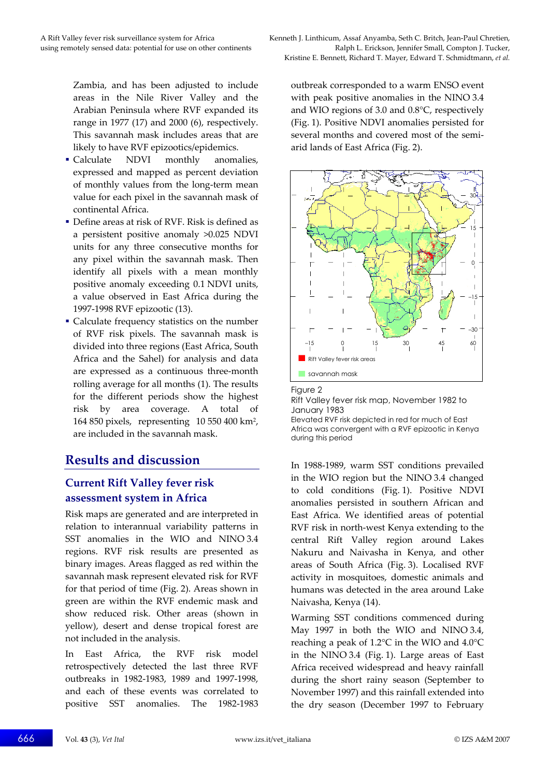Zambia, and has been adjusted to include areas in the Nile River Valley and the Arabian Peninsula where RVF expanded its range in 1977 (17) and 2000 (6), respectively. This savannah mask includes areas that are likely to have RVF epizootics/epidemics.

- Calculate NDVI monthly anomalies. expressed and mapped as percent deviation of monthly values from the long-term mean value for each pixel in the savannah mask of continental Africa.
- Define areas at risk of RVF. Risk is defined as a persistent positive anomaly >0.025 NDVI units for any three consecutive months for any pixel within the savannah mask. Then identify all pixels with a mean monthly positive anomaly exceeding 0.1 NDVI units, a value observed in East Africa during the 1997-1998 RVF epizootic (13).
- Calculate frequency statistics on the number of RVF risk pixels. The savannah mask is divided into three regions (East Africa, South Africa and the Sahel) for analysis and data are expressed as a continuous three-month rolling average for all months (1). The results for the different periods show the highest risk by area coverage. A total of 164 850 pixels, representing 10 550 400 km2, are included in the savannah mask.

## **Results and discussion**

## **Current Rift Valley fever risk assessment system in Africa**

Risk maps are generated and are interpreted in relation to interannual variability patterns in SST anomalies in the WIO and NINO 3.4 regions. RVF risk results are presented as binary images. Areas flagged as red within the savannah mask represent elevated risk for RVF for that period of time (Fig. 2). Areas shown in green are within the RVF endemic mask and show reduced risk. Other areas (shown in yellow), desert and dense tropical forest are not included in the analysis.

In East Africa, the RVF risk model retrospectively detected the last three RVF outbreaks in 1982-1983, 1989 and 1997-1998, and each of these events was correlated to positive SST anomalies. The 1982-1983 outbreak corresponded to a warm ENSO event with peak positive anomalies in the NINO 3.4 and WIO regions of 3.0 and 0.8°C, respectively (Fig. 1). Positive NDVI anomalies persisted for several months and covered most of the semiarid lands of East Africa (Fig. 2).





#### Rift Valley fever risk map, November 1982 to January 1983

Elevated RVF risk depicted in red for much of East Africa was convergent with a RVF epizootic in Kenya during this period

In 1988-1989, warm SST conditions prevailed in the WIO region but the NINO 3.4 changed to cold conditions (Fig. 1). Positive NDVI anomalies persisted in southern African and East Africa. We identified areas of potential RVF risk in north-west Kenya extending to the central Rift Valley region around Lakes Nakuru and Naivasha in Kenya, and other areas of South Africa (Fig. 3). Localised RVF activity in mosquitoes, domestic animals and humans was detected in the area around Lake Naivasha, Kenya (14).

Warming SST conditions commenced during May 1997 in both the WIO and NINO 3.4, reaching a peak of 1.2°C in the WIO and 4.0°C in the NINO 3.4 (Fig. 1). Large areas of East Africa received widespread and heavy rainfall during the short rainy season (September to November 1997) and this rainfall extended into the dry season (December 1997 to February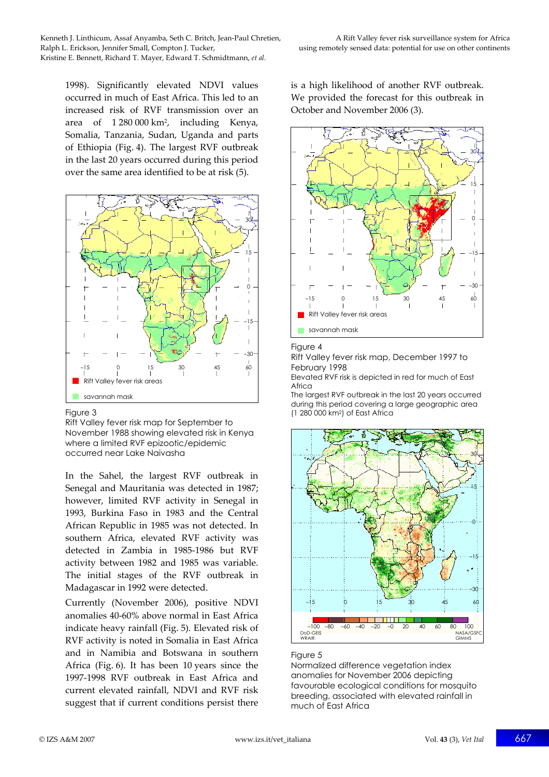1998). Significantly elevated NDVI values occurred in much of East Africa. This led to an increased risk of RVF transmission over an area of 1 280 000 km2, including Kenya, Somalia, Tanzania, Sudan, Uganda and parts of Ethiopia (Fig. 4). The largest RVF outbreak in the last 20 years occurred during this period over the same area identified to be at risk (5).



#### Figure 3

Rift Valley fever risk map for September to November 1988 showing elevated risk in Kenya where a limited RVF epizootic/epidemic occurred near Lake Naivasha

In the Sahel, the largest RVF outbreak in Senegal and Mauritania was detected in 1987; however, limited RVF activity in Senegal in 1993, Burkina Faso in 1983 and the Central African Republic in 1985 was not detected. In southern Africa, elevated RVF activity was detected in Zambia in 1985-1986 but RVF activity between 1982 and 1985 was variable. The initial stages of the RVF outbreak in Madagascar in 1992 were detected.

Currently (November 2006), positive NDVI anomalies 40-60% above normal in East Africa indicate heavy rainfall (Fig. 5). Elevated risk of RVF activity is noted in Somalia in East Africa and in Namibia and Botswana in southern Africa (Fig. 6). It has been 10 years since the 1997-1998 RVF outbreak in East Africa and current elevated rainfall, NDVI and RVF risk suggest that if current conditions persist there

is a high likelihood of another RVF outbreak. We provided the forecast for this outbreak in October and November 2006 (3).



#### Figure 4

Rift Valley fever risk map, December 1997 to February 1998

Elevated RVF risk is depicted in red for much of East Africa

The largest RVF outbreak in the last 20 years occurred during this period covering a large geographic area (1 280 000 km2) of East Africa



#### Figure 5

Normalized difference vegetation index anomalies for November 2006 depicting favourable ecological conditions for mosquito breeding, associated with elevated rainfall in much of East Africa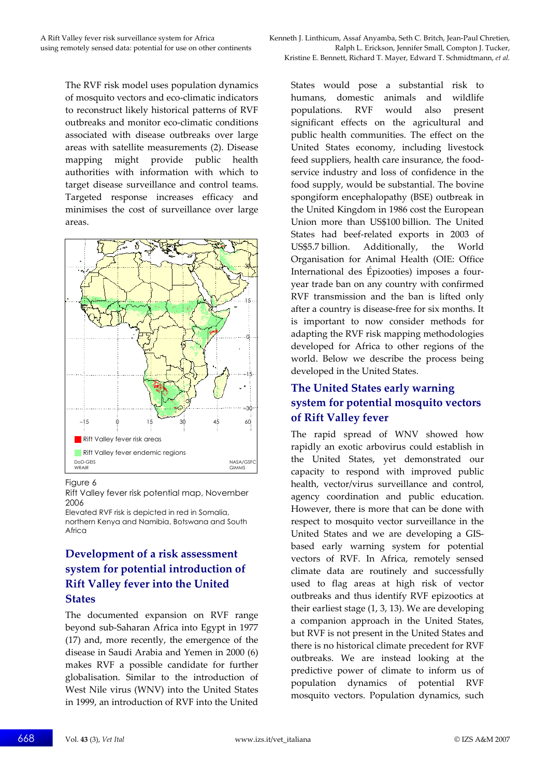The RVF risk model uses population dynamics of mosquito vectors and eco-climatic indicators to reconstruct likely historical patterns of RVF outbreaks and monitor eco-climatic conditions associated with disease outbreaks over large areas with satellite measurements (2). Disease mapping might provide public health authorities with information with which to target disease surveillance and control teams. Targeted response increases efficacy and minimises the cost of surveillance over large areas.



#### Figure 6

Rift Valley fever risk potential map, November 2006

Elevated RVF risk is depicted in red in Somalia, northern Kenya and Namibia, Botswana and South Africa

## **Development of a risk assessment system for potential introduction of Rift Valley fever into the United States**

The documented expansion on RVF range beyond sub-Saharan Africa into Egypt in 1977 (17) and, more recently, the emergence of the disease in Saudi Arabia and Yemen in 2000 (6) makes RVF a possible candidate for further globalisation. Similar to the introduction of West Nile virus (WNV) into the United States in 1999, an introduction of RVF into the United

States would pose a substantial risk to humans, domestic animals and wildlife populations. RVF would also present significant effects on the agricultural and public health communities. The effect on the United States economy, including livestock feed suppliers, health care insurance, the foodservice industry and loss of confidence in the food supply, would be substantial. The bovine spongiform encephalopathy (BSE) outbreak in the United Kingdom in 1986 cost the European Union more than US\$100 billion. The United States had beef-related exports in 2003 of US\$5.7 billion. Additionally, the World Organisation for Animal Health (OIE: Office International des Épizooties) imposes a fouryear trade ban on any country with confirmed RVF transmission and the ban is lifted only after a country is disease-free for six months. It is important to now consider methods for adapting the RVF risk mapping methodologies developed for Africa to other regions of the world. Below we describe the process being developed in the United States.

## **The United States early warning system for potential mosquito vectors of Rift Valley fever**

The rapid spread of WNV showed how rapidly an exotic arbovirus could establish in the United States, yet demonstrated our capacity to respond with improved public health, vector/virus surveillance and control, agency coordination and public education. However, there is more that can be done with respect to mosquito vector surveillance in the United States and we are developing a GISbased early warning system for potential vectors of RVF. In Africa, remotely sensed climate data are routinely and successfully used to flag areas at high risk of vector outbreaks and thus identify RVF epizootics at their earliest stage (1, 3, 13). We are developing a companion approach in the United States, but RVF is not present in the United States and there is no historical climate precedent for RVF outbreaks. We are instead looking at the predictive power of climate to inform us of population dynamics of potential RVF mosquito vectors. Population dynamics, such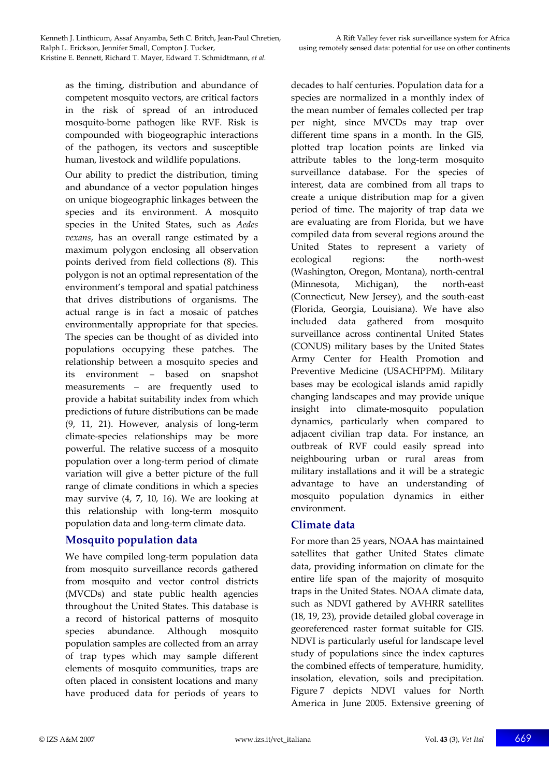as the timing, distribution and abundance of competent mosquito vectors, are critical factors in the risk of spread of an introduced mosquito-borne pathogen like RVF. Risk is compounded with biogeographic interactions of the pathogen, its vectors and susceptible human, livestock and wildlife populations.

Our ability to predict the distribution, timing and abundance of a vector population hinges on unique biogeographic linkages between the species and its environment. A mosquito species in the United States, such as *Aedes vexans*, has an overall range estimated by a maximum polygon enclosing all observation points derived from field collections (8). This polygon is not an optimal representation of the environment's temporal and spatial patchiness that drives distributions of organisms. The actual range is in fact a mosaic of patches environmentally appropriate for that species. The species can be thought of as divided into populations occupying these patches. The relationship between a mosquito species and its environment – based on snapshot measurements – are frequently used to provide a habitat suitability index from which predictions of future distributions can be made (9, 11, 21). However, analysis of long-term climate-species relationships may be more powerful. The relative success of a mosquito population over a long-term period of climate variation will give a better picture of the full range of climate conditions in which a species may survive (4, 7, 10, 16). We are looking at this relationship with long-term mosquito population data and long-term climate data.

## **Mosquito population data**

We have compiled long-term population data from mosquito surveillance records gathered from mosquito and vector control districts (MVCDs) and state public health agencies throughout the United States. This database is a record of historical patterns of mosquito species abundance. Although mosquito population samples are collected from an array of trap types which may sample different elements of mosquito communities, traps are often placed in consistent locations and many have produced data for periods of years to decades to half centuries. Population data for a species are normalized in a monthly index of the mean number of females collected per trap per night, since MVCDs may trap over different time spans in a month. In the GIS, plotted trap location points are linked via attribute tables to the long-term mosquito surveillance database. For the species of interest, data are combined from all traps to create a unique distribution map for a given period of time. The majority of trap data we are evaluating are from Florida, but we have compiled data from several regions around the United States to represent a variety of ecological regions: the north-west (Washington, Oregon, Montana), north-central (Minnesota, Michigan), the north-east (Connecticut, New Jersey), and the south-east (Florida, Georgia, Louisiana). We have also included data gathered from mosquito surveillance across continental United States (CONUS) military bases by the United States Army Center for Health Promotion and Preventive Medicine (USACHPPM). Military bases may be ecological islands amid rapidly changing landscapes and may provide unique insight into climate-mosquito population dynamics, particularly when compared to adjacent civilian trap data. For instance, an outbreak of RVF could easily spread into neighbouring urban or rural areas from military installations and it will be a strategic advantage to have an understanding of mosquito population dynamics in either environment.

## **Climate data**

For more than 25 years, NOAA has maintained satellites that gather United States climate data, providing information on climate for the entire life span of the majority of mosquito traps in the United States. NOAA climate data, such as NDVI gathered by AVHRR satellites (18, 19, 23), provide detailed global coverage in georeferenced raster format suitable for GIS. NDVI is particularly useful for landscape level study of populations since the index captures the combined effects of temperature, humidity, insolation, elevation, soils and precipitation. Figure 7 depicts NDVI values for North America in June 2005. Extensive greening of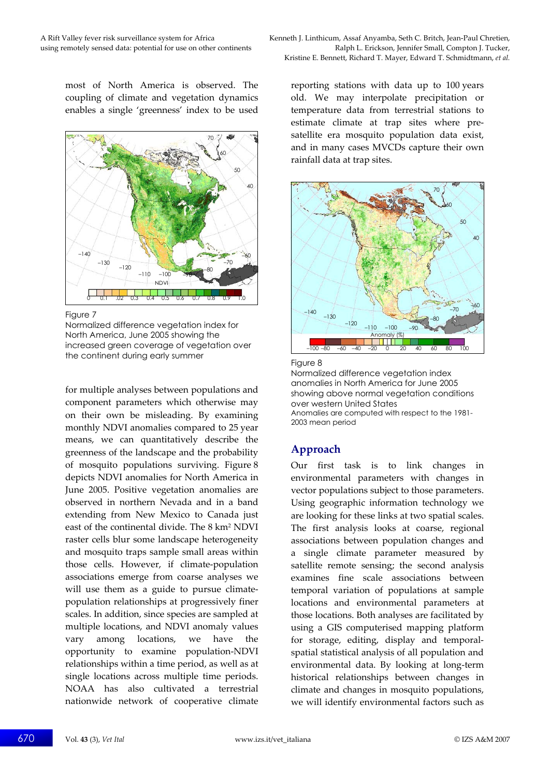most of North America is observed. The coupling of climate and vegetation dynamics enables a single 'greenness' index to be used



Figure 7

Normalized difference vegetation index for North America, June 2005 showing the increased green coverage of vegetation over the continent during early summer

for multiple analyses between populations and component parameters which otherwise may on their own be misleading. By examining monthly NDVI anomalies compared to 25 year means, we can quantitatively describe the greenness of the landscape and the probability of mosquito populations surviving. Figure 8 depicts NDVI anomalies for North America in June 2005. Positive vegetation anomalies are observed in northern Nevada and in a band extending from New Mexico to Canada just east of the continental divide. The 8 km2 NDVI raster cells blur some landscape heterogeneity and mosquito traps sample small areas within those cells. However, if climate-population associations emerge from coarse analyses we will use them as a guide to pursue climatepopulation relationships at progressively finer scales. In addition, since species are sampled at multiple locations, and NDVI anomaly values vary among locations, we have the opportunity to examine population-NDVI relationships within a time period, as well as at single locations across multiple time periods. NOAA has also cultivated a terrestrial nationwide network of cooperative climate

A Rift Valley fever risk surveillance system for Africa Kenneth J. Linthicum, Assaf Anyamba, Seth C. Britch, Jean-Paul Chretien, using remotely sensed data: potential for use on other continents Ralph L. Erickson, Jennifer Small, Compton J. Tucker, Kristine E. Bennett, Richard T. Mayer, Edward T. Schmidtmann, *et al.*

> reporting stations with data up to 100 years old. We may interpolate precipitation or temperature data from terrestrial stations to estimate climate at trap sites where presatellite era mosquito population data exist, and in many cases MVCDs capture their own rainfall data at trap sites.



#### Figure 8

Normalized difference vegetation index anomalies in North America for June 2005 showing above normal vegetation conditions over western United States Anomalies are computed with respect to the 1981- 2003 mean period

## **Approach**

Our first task is to link changes in environmental parameters with changes in vector populations subject to those parameters. Using geographic information technology we are looking for these links at two spatial scales. The first analysis looks at coarse, regional associations between population changes and a single climate parameter measured by satellite remote sensing; the second analysis examines fine scale associations between temporal variation of populations at sample locations and environmental parameters at those locations. Both analyses are facilitated by using a GIS computerised mapping platform for storage, editing, display and temporalspatial statistical analysis of all population and environmental data. By looking at long-term historical relationships between changes in climate and changes in mosquito populations, we will identify environmental factors such as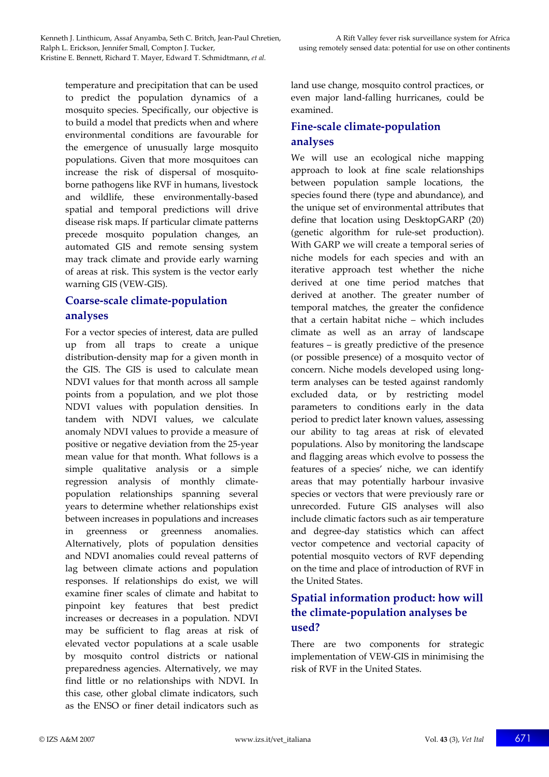temperature and precipitation that can be used to predict the population dynamics of a mosquito species. Specifically, our objective is to build a model that predicts when and where environmental conditions are favourable for the emergence of unusually large mosquito populations. Given that more mosquitoes can increase the risk of dispersal of mosquitoborne pathogens like RVF in humans, livestock and wildlife, these environmentally-based spatial and temporal predictions will drive disease risk maps. If particular climate patterns precede mosquito population changes, an automated GIS and remote sensing system may track climate and provide early warning of areas at risk. This system is the vector early warning GIS (VEW-GIS).

## **Coarse-scale climate-population analyses**

For a vector species of interest, data are pulled up from all traps to create a unique distribution-density map for a given month in the GIS. The GIS is used to calculate mean NDVI values for that month across all sample points from a population, and we plot those NDVI values with population densities. In tandem with NDVI values, we calculate anomaly NDVI values to provide a measure of positive or negative deviation from the 25-year mean value for that month. What follows is a simple qualitative analysis or a simple regression analysis of monthly climatepopulation relationships spanning several years to determine whether relationships exist between increases in populations and increases in greenness or greenness anomalies. Alternatively, plots of population densities and NDVI anomalies could reveal patterns of lag between climate actions and population responses. If relationships do exist, we will examine finer scales of climate and habitat to pinpoint key features that best predict increases or decreases in a population. NDVI may be sufficient to flag areas at risk of elevated vector populations at a scale usable by mosquito control districts or national preparedness agencies. Alternatively, we may find little or no relationships with NDVI. In this case, other global climate indicators, such as the ENSO or finer detail indicators such as

land use change, mosquito control practices, or even major land-falling hurricanes, could be examined.

## **Fine-scale climate-population analyses**

We will use an ecological niche mapping approach to look at fine scale relationships between population sample locations, the species found there (type and abundance), and the unique set of environmental attributes that define that location using DesktopGARP (20) (genetic algorithm for rule-set production). With GARP we will create a temporal series of niche models for each species and with an iterative approach test whether the niche derived at one time period matches that derived at another. The greater number of temporal matches, the greater the confidence that a certain habitat niche – which includes climate as well as an array of landscape features – is greatly predictive of the presence (or possible presence) of a mosquito vector of concern. Niche models developed using longterm analyses can be tested against randomly excluded data, or by restricting model parameters to conditions early in the data period to predict later known values, assessing our ability to tag areas at risk of elevated populations. Also by monitoring the landscape and flagging areas which evolve to possess the features of a species' niche, we can identify areas that may potentially harbour invasive species or vectors that were previously rare or unrecorded. Future GIS analyses will also include climatic factors such as air temperature and degree-day statistics which can affect vector competence and vectorial capacity of potential mosquito vectors of RVF depending on the time and place of introduction of RVF in the United States.

## **Spatial information product: how will the climate-population analyses be used?**

There are two components for strategic implementation of VEW-GIS in minimising the risk of RVF in the United States.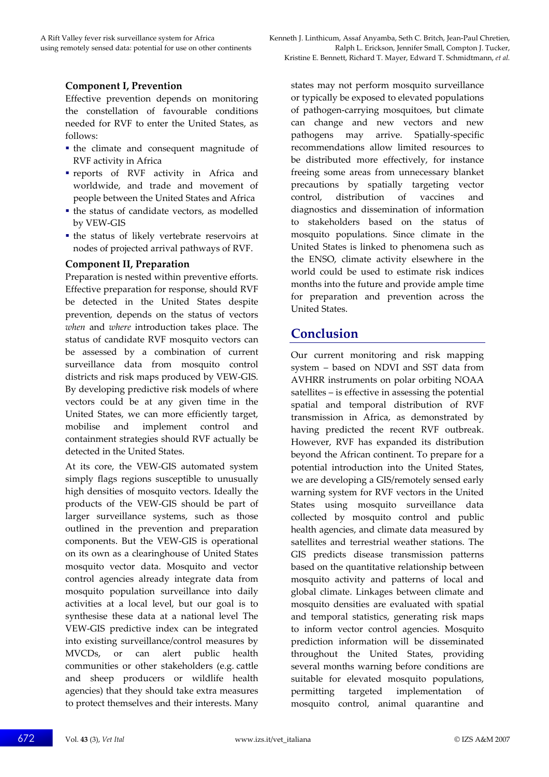### **Component I, Prevention**

Effective prevention depends on monitoring the constellation of favourable conditions needed for RVF to enter the United States, as follows:

- the climate and consequent magnitude of RVF activity in Africa
- reports of RVF activity in Africa and worldwide, and trade and movement of people between the United States and Africa
- the status of candidate vectors, as modelled by VEW-GIS
- the status of likely vertebrate reservoirs at nodes of projected arrival pathways of RVF.

#### **Component II, Preparation**

Preparation is nested within preventive efforts. Effective preparation for response, should RVF be detected in the United States despite prevention, depends on the status of vectors *when* and *where* introduction takes place. The status of candidate RVF mosquito vectors can be assessed by a combination of current surveillance data from mosquito control districts and risk maps produced by VEW-GIS. By developing predictive risk models of where vectors could be at any given time in the United States, we can more efficiently target, mobilise and implement control and containment strategies should RVF actually be detected in the United States.

At its core, the VEW-GIS automated system simply flags regions susceptible to unusually high densities of mosquito vectors. Ideally the products of the VEW-GIS should be part of larger surveillance systems, such as those outlined in the prevention and preparation components. But the VEW-GIS is operational on its own as a clearinghouse of United States mosquito vector data. Mosquito and vector control agencies already integrate data from mosquito population surveillance into daily activities at a local level, but our goal is to synthesise these data at a national level The VEW-GIS predictive index can be integrated into existing surveillance/control measures by MVCDs, or can alert public health communities or other stakeholders (e.g. cattle and sheep producers or wildlife health agencies) that they should take extra measures to protect themselves and their interests. Many states may not perform mosquito surveillance or typically be exposed to elevated populations of pathogen-carrying mosquitoes, but climate can change and new vectors and new pathogens may arrive. Spatially-specific recommendations allow limited resources to be distributed more effectively, for instance freeing some areas from unnecessary blanket precautions by spatially targeting vector control, distribution of vaccines and diagnostics and dissemination of information to stakeholders based on the status of mosquito populations. Since climate in the United States is linked to phenomena such as the ENSO, climate activity elsewhere in the world could be used to estimate risk indices months into the future and provide ample time for preparation and prevention across the United States.

## **Conclusion**

Our current monitoring and risk mapping system – based on NDVI and SST data from AVHRR instruments on polar orbiting NOAA satellites – is effective in assessing the potential spatial and temporal distribution of RVF transmission in Africa, as demonstrated by having predicted the recent RVF outbreak. However, RVF has expanded its distribution beyond the African continent. To prepare for a potential introduction into the United States, we are developing a GIS/remotely sensed early warning system for RVF vectors in the United States using mosquito surveillance data collected by mosquito control and public health agencies, and climate data measured by satellites and terrestrial weather stations. The GIS predicts disease transmission patterns based on the quantitative relationship between mosquito activity and patterns of local and global climate. Linkages between climate and mosquito densities are evaluated with spatial and temporal statistics, generating risk maps to inform vector control agencies. Mosquito prediction information will be disseminated throughout the United States, providing several months warning before conditions are suitable for elevated mosquito populations, permitting targeted implementation of mosquito control, animal quarantine and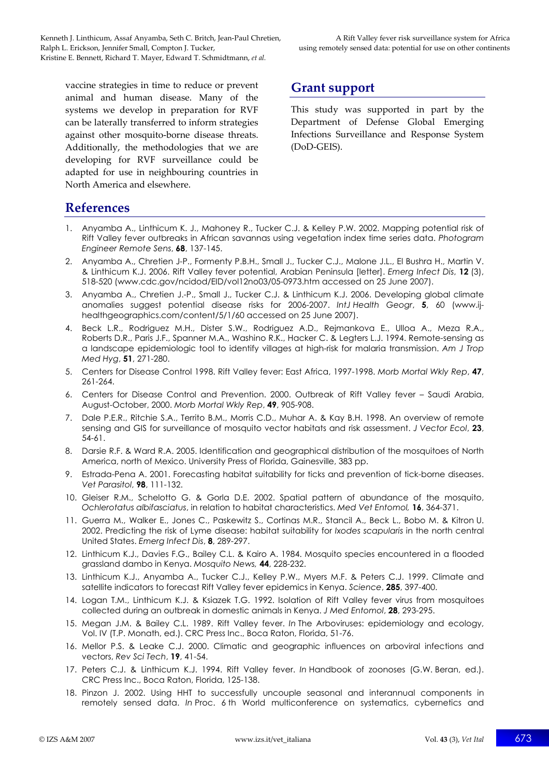vaccine strategies in time to reduce or prevent animal and human disease. Many of the systems we develop in preparation for RVF can be laterally transferred to inform strategies against other mosquito-borne disease threats. Additionally, the methodologies that we are developing for RVF surveillance could be adapted for use in neighbouring countries in North America and elsewhere.

# **Grant support**

This study was supported in part by the Department of Defense Global Emerging Infections Surveillance and Response System (DoD-GEIS).

## **References**

- 1. Anyamba A., Linthicum K. J., Mahoney R., Tucker C.J. & Kelley P.W. 2002. Mapping potential risk of Rift Valley fever outbreaks in African savannas using vegetation index time series data. *Photogram Engineer Remote Sens*, **68**, 137-145.
- 2. Anyamba A., Chretien J-P., Formenty P.B.H., Small J., Tucker C.J., Malone J.L., El Bushra H., Martin V. & Linthicum K.J. 2006. Rift Valley fever potential, Arabian Peninsula [letter]. *Emerg Infect Dis*, **12** (3), 518-520 (www.cdc.gov/ncidod/EID/vol12no03/05-0973.htm accessed on 25 June 2007).
- 3. Anyamba A., Chretien J.-P., Small J., Tucker C.J. & Linthicum K.J. 2006. Developing global climate anomalies suggest potential disease risks for 2006-2007. *IntJ Health Geogr*, **5**, 60 (www.ijhealthgeographics.com/content/5/1/60 accessed on 25 June 2007).
- 4. Beck L.R., Rodriguez M.H., Dister S.W., Rodriguez A.D., Rejmankova E., Ulloa A., Meza R.A., Roberts D.R., Paris J.F., Spanner M.A., Washino R.K., Hacker C. & Legters L.J. 1994. Remote-sensing as a landscape epidemiologic tool to identify villages at high-risk for malaria transmission. *Am J Trop Med Hyg*, **51**, 271-280.
- 5. Centers for Disease Control 1998. Rift Valley fever: East Africa, 1997-1998. *Morb Mortal Wkly Rep*, **47**, 261-264.
- 6. Centers for Disease Control and Prevention. 2000. Outbreak of Rift Valley fever Saudi Arabia, August-October, 2000. *Morb Mortal Wkly Rep*, **49**, 905-908.
- 7. Dale P.E.R., Ritchie S.A., Territo B.M., Morris C.D., Muhar A. & Kay B.H. 1998. An overview of remote sensing and GIS for surveillance of mosquito vector habitats and risk assessment. *J Vector Ecol*, **23**, 54-61.
- 8. Darsie R.F. & Ward R.A. 2005. Identification and geographical distribution of the mosquitoes of North America, north of Mexico. University Press of Florida, Gainesville, 383 pp.
- 9. Estrada-Pena A. 2001. Forecasting habitat suitability for ticks and prevention of tick-borne diseases. *Vet Parasitol*, **98**, 111-132.
- 10. Gleiser R.M., Schelotto G. & Gorla D.E. 2002. Spatial pattern of abundance of the mosquito, *Ochlerotatus albifasciatus*, in relation to habitat characteristics. *Med Vet Entomol,* **16**, 364-371.
- 11. Guerra M., Walker E., Jones C., Paskewitz S., Cortinas M.R., Stancil A., Beck L., Bobo M. & Kitron U. 2002. Predicting the risk of Lyme disease: habitat suitability for *Ixodes scapularis* in the north central United States. *Emerg Infect Dis*, **8**, 289-297.
- 12. Linthicum K.J., Davies F.G., Bailey C.L. & Kairo A. 1984. Mosquito species encountered in a flooded grassland dambo in Kenya. *Mosquito News,* **44**, 228-232.
- 13. Linthicum K.J., Anyamba A., Tucker C.J., Kelley P.W., Myers M.F. & Peters C.J. 1999. Climate and satellite indicators to forecast Rift Valley fever epidemics in Kenya. *Science*, **285**, 397-400.
- 14. Logan T.M., Linthicum K.J. & Ksiazek T.G. 1992. Isolation of Rift Valley fever virus from mosquitoes collected during an outbreak in domestic animals in Kenya. *J Med Entomol*, **28**, 293-295.
- 15. Megan J.M. & Bailey C.L. 1989. Rift Valley fever. *In* The Arboviruses: epidemiology and ecology, Vol. IV (T.P. Monath, ed.). CRC Press Inc., Boca Raton, Florida, 51-76.
- 16. Mellor P.S. & Leake C.J. 2000. Climatic and geographic influences on arboviral infections and vectors, *Rev Sci Tech*, **19**, 41-54.
- 17. Peters C.J. & Linthicum K.J. 1994. Rift Valley fever. *In* Handbook of zoonoses (G.W. Beran, ed.). CRC Press Inc., Boca Raton, Florida, 125-138.
- 18. Pinzon J. 2002. Using HHT to successfully uncouple seasonal and interannual components in remotely sensed data. *In* Proc. 6 th World multiconference on systematics, cybernetics and